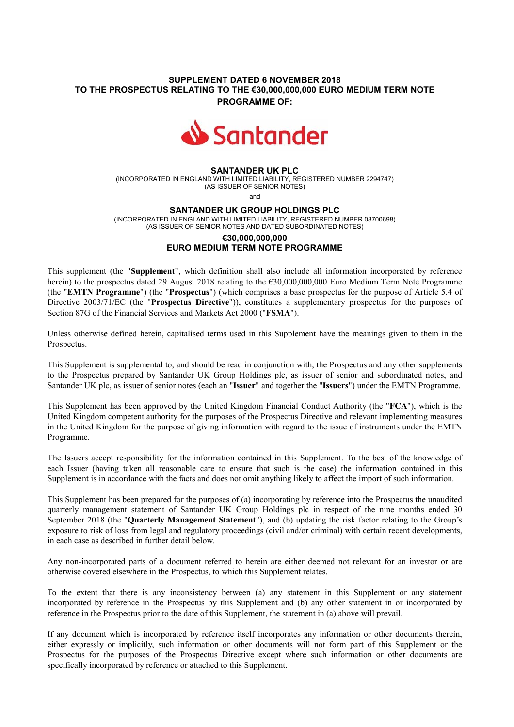# **SUPPLEMENT DATED 6 NOVEMBER 2018 TO THE PROSPECTUS RELATING TO THE €30,000,000,000 EURO MEDIUM TERM NOTE PROGRAMME OF:**



### **SANTANDER UK PLC**

(INCORPORATED IN ENGLAND WITH LIMITED LIABILITY, REGISTERED NUMBER 2294747) (AS ISSUER OF SENIOR NOTES)

and

#### **SANTANDER UK GROUP HOLDINGS PLC**

(INCORPORATED IN ENGLAND WITH LIMITED LIABILITY, REGISTERED NUMBER 08700698) (AS ISSUER OF SENIOR NOTES AND DATED SUBORDINATED NOTES)

## **€30,000,000,000 EURO MEDIUM TERM NOTE PROGRAMME**

This supplement (the "**Supplement**", which definition shall also include all information incorporated by reference herein) to the prospectus dated 29 August 2018 relating to the €30,000,000,000 Euro Medium Term Note Programme (the "**EMTN Programme**") (the "**Prospectus**") (which comprises a base prospectus for the purpose of Article 5.4 of Directive 2003/71/EC (the "**Prospectus Directive**")), constitutes a supplementary prospectus for the purposes of Section 87G of the Financial Services and Markets Act 2000 ("**FSMA**").

Unless otherwise defined herein, capitalised terms used in this Supplement have the meanings given to them in the Prospectus.

This Supplement is supplemental to, and should be read in conjunction with, the Prospectus and any other supplements to the Prospectus prepared by Santander UK Group Holdings plc, as issuer of senior and subordinated notes, and Santander UK plc, as issuer of senior notes (each an "**Issuer**" and together the "**Issuers**") under the EMTN Programme.

This Supplement has been approved by the United Kingdom Financial Conduct Authority (the "**FCA**"), which is the United Kingdom competent authority for the purposes of the Prospectus Directive and relevant implementing measures in the United Kingdom for the purpose of giving information with regard to the issue of instruments under the EMTN Programme.

The Issuers accept responsibility for the information contained in this Supplement. To the best of the knowledge of each Issuer (having taken all reasonable care to ensure that such is the case) the information contained in this Supplement is in accordance with the facts and does not omit anything likely to affect the import of such information.

This Supplement has been prepared for the purposes of (a) incorporating by reference into the Prospectus the unaudited quarterly management statement of Santander UK Group Holdings plc in respect of the nine months ended 30 September 2018 (the "**Quarterly Management Statement**"), and (b) updating the risk factor relating to the Group's exposure to risk of loss from legal and regulatory proceedings (civil and/or criminal) with certain recent developments, in each case as described in further detail below.

Any non-incorporated parts of a document referred to herein are either deemed not relevant for an investor or are otherwise covered elsewhere in the Prospectus, to which this Supplement relates.

To the extent that there is any inconsistency between (a) any statement in this Supplement or any statement incorporated by reference in the Prospectus by this Supplement and (b) any other statement in or incorporated by reference in the Prospectus prior to the date of this Supplement, the statement in (a) above will prevail.

If any document which is incorporated by reference itself incorporates any information or other documents therein, either expressly or implicitly, such information or other documents will not form part of this Supplement or the Prospectus for the purposes of the Prospectus Directive except where such information or other documents are specifically incorporated by reference or attached to this Supplement.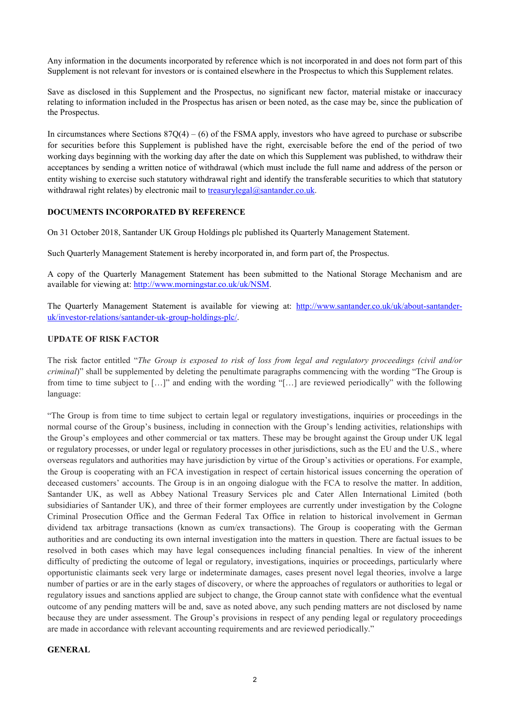Any information in the documents incorporated by reference which is not incorporated in and does not form part of this Supplement is not relevant for investors or is contained elsewhere in the Prospectus to which this Supplement relates.

Save as disclosed in this Supplement and the Prospectus, no significant new factor, material mistake or inaccuracy relating to information included in the Prospectus has arisen or been noted, as the case may be, since the publication of the Prospectus.

In circumstances where Sections  $87Q(4) - (6)$  of the FSMA apply, investors who have agreed to purchase or subscribe for securities before this Supplement is published have the right, exercisable before the end of the period of two working days beginning with the working day after the date on which this Supplement was published, to withdraw their acceptances by sending a written notice of withdrawal (which must include the full name and address of the person or entity wishing to exercise such statutory withdrawal right and identify the transferable securities to which that statutory withdrawal right relates) by electronic mail to treasurylegal@santander.co.uk.

## **DOCUMENTS INCORPORATED BY REFERENCE**

On 31 October 2018, Santander UK Group Holdings plc published its Quarterly Management Statement.

Such Quarterly Management Statement is hereby incorporated in, and form part of, the Prospectus.

A copy of the Quarterly Management Statement has been submitted to the National Storage Mechanism and are available for viewing at: http://www.morningstar.co.uk/uk/NSM.

The Quarterly Management Statement is available for viewing at: http://www.santander.co.uk/uk/about-santanderuk/investor-relations/santander-uk-group-holdings-plc/.

## **UPDATE OF RISK FACTOR**

The risk factor entitled "*The Group is exposed to risk of loss from legal and regulatory proceedings (civil and/or criminal*)" shall be supplemented by deleting the penultimate paragraphs commencing with the wording "The Group is from time to time subject to […]" and ending with the wording "[…] are reviewed periodically" with the following language:

"The Group is from time to time subject to certain legal or regulatory investigations, inquiries or proceedings in the normal course of the Group's business, including in connection with the Group's lending activities, relationships with the Group's employees and other commercial or tax matters. These may be brought against the Group under UK legal or regulatory processes, or under legal or regulatory processes in other jurisdictions, such as the EU and the U.S., where overseas regulators and authorities may have jurisdiction by virtue of the Group's activities or operations. For example, the Group is cooperating with an FCA investigation in respect of certain historical issues concerning the operation of deceased customers' accounts. The Group is in an ongoing dialogue with the FCA to resolve the matter. In addition, Santander UK, as well as Abbey National Treasury Services plc and Cater Allen International Limited (both subsidiaries of Santander UK), and three of their former employees are currently under investigation by the Cologne Criminal Prosecution Office and the German Federal Tax Office in relation to historical involvement in German dividend tax arbitrage transactions (known as cum/ex transactions). The Group is cooperating with the German authorities and are conducting its own internal investigation into the matters in question. There are factual issues to be resolved in both cases which may have legal consequences including financial penalties. In view of the inherent difficulty of predicting the outcome of legal or regulatory, investigations, inquiries or proceedings, particularly where opportunistic claimants seek very large or indeterminate damages, cases present novel legal theories, involve a large number of parties or are in the early stages of discovery, or where the approaches of regulators or authorities to legal or regulatory issues and sanctions applied are subject to change, the Group cannot state with confidence what the eventual outcome of any pending matters will be and, save as noted above, any such pending matters are not disclosed by name because they are under assessment. The Group's provisions in respect of any pending legal or regulatory proceedings are made in accordance with relevant accounting requirements and are reviewed periodically."

#### **GENERAL**